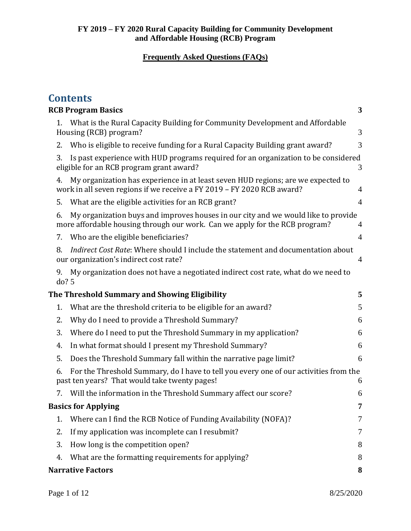|    | <b>Contents</b>                                                                                                                                                  |                |
|----|------------------------------------------------------------------------------------------------------------------------------------------------------------------|----------------|
|    | <b>RCB Program Basics</b>                                                                                                                                        | 3              |
| 1. | What is the Rural Capacity Building for Community Development and Affordable<br>Housing (RCB) program?                                                           | 3              |
| 2. | Who is eligible to receive funding for a Rural Capacity Building grant award?                                                                                    | 3              |
| 3. | Is past experience with HUD programs required for an organization to be considered<br>eligible for an RCB program grant award?                                   | 3              |
| 4. | My organization has experience in at least seven HUD regions; are we expected to<br>work in all seven regions if we receive a FY 2019 - FY 2020 RCB award?       | $\overline{4}$ |
| 5. | What are the eligible activities for an RCB grant?                                                                                                               | $\overline{4}$ |
| 6. | My organization buys and improves houses in our city and we would like to provide<br>more affordable housing through our work. Can we apply for the RCB program? | 4              |
| 7. | Who are the eligible beneficiaries?                                                                                                                              | 4              |
| 8. | Indirect Cost Rate: Where should I include the statement and documentation about<br>our organization's indirect cost rate?                                       | $\overline{4}$ |
| 9. | My organization does not have a negotiated indirect cost rate, what do we need to<br>do? 5                                                                       |                |
|    | The Threshold Summary and Showing Eligibility                                                                                                                    | 5              |
| 1. | What are the threshold criteria to be eligible for an award?                                                                                                     | 5              |
| 2. | Why do I need to provide a Threshold Summary?                                                                                                                    | 6              |
| 3. | Where do I need to put the Threshold Summary in my application?                                                                                                  | 6              |
| 4. | In what format should I present my Threshold Summary?                                                                                                            | 6              |
| 5. | Does the Threshold Summary fall within the narrative page limit?                                                                                                 | 6              |
| 6. | For the Threshold Summary, do I have to tell you every one of our activities from the<br>past ten years? That would take twenty pages!                           | 6              |
|    | Will the information in the Threshold Summary affect our score?                                                                                                  | 6              |
|    | <b>Basics for Applying</b>                                                                                                                                       | 7              |
| 1. | Where can I find the RCB Notice of Funding Availability (NOFA)?                                                                                                  | 7              |
| 2. | If my application was incomplete can I resubmit?                                                                                                                 | 7              |
| 3. | How long is the competition open?                                                                                                                                | 8              |
| 4. | What are the formatting requirements for applying?                                                                                                               | 8              |
|    | <b>Narrative Factors</b>                                                                                                                                         | 8              |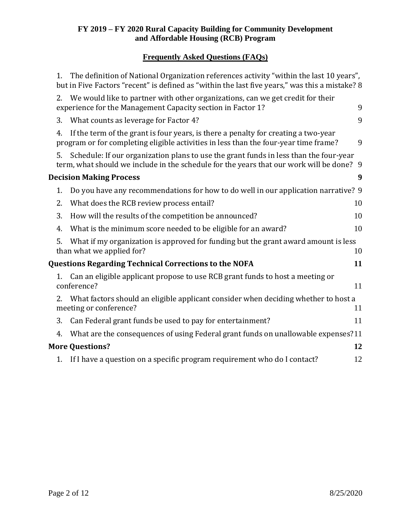### **Frequently Asked Questions (FAQs)**

| 1. | The definition of National Organization references activity "within the last 10 years",<br>but in Five Factors "recent" is defined as "within the last five years," was this a mistake? 8 |    |
|----|-------------------------------------------------------------------------------------------------------------------------------------------------------------------------------------------|----|
| 2. | We would like to partner with other organizations, can we get credit for their<br>experience for the Management Capacity section in Factor 1?                                             | 9  |
| 3. | What counts as leverage for Factor 4?                                                                                                                                                     | 9  |
| 4. | If the term of the grant is four years, is there a penalty for creating a two-year<br>program or for completing eligible activities in less than the four-year time frame?                | 9  |
| 5. | Schedule: If our organization plans to use the grant funds in less than the four-year<br>term, what should we include in the schedule for the years that our work will be done? 9         |    |
|    | <b>Decision Making Process</b>                                                                                                                                                            | 9  |
| 1. | Do you have any recommendations for how to do well in our application narrative? 9                                                                                                        |    |
| 2. | What does the RCB review process entail?                                                                                                                                                  | 10 |
| 3. | How will the results of the competition be announced?                                                                                                                                     | 10 |
| 4. | What is the minimum score needed to be eligible for an award?                                                                                                                             | 10 |
| 5. | What if my organization is approved for funding but the grant award amount is less<br>than what we applied for?                                                                           | 10 |
|    | <b>Questions Regarding Technical Corrections to the NOFA</b>                                                                                                                              | 11 |
| 1. | Can an eligible applicant propose to use RCB grant funds to host a meeting or<br>conference?                                                                                              | 11 |
| 2. | What factors should an eligible applicant consider when deciding whether to host a<br>meeting or conference?                                                                              | 11 |
| 3. | Can Federal grant funds be used to pay for entertainment?                                                                                                                                 | 11 |
| 4. | What are the consequences of using Federal grant funds on unallowable expenses?11                                                                                                         |    |
|    | <b>More Questions?</b>                                                                                                                                                                    | 12 |
| 1. | If I have a question on a specific program requirement who do I contact?                                                                                                                  | 12 |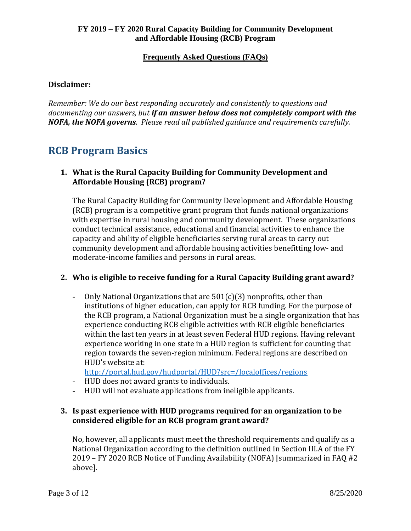#### **Disclaimer:**

*Remember: We do our best responding accurately and consistently to questions and documenting our answers, but if an answer below does not completely comport with the NOFA, the NOFA governs. Please read all published guidance and requirements carefully.*

# <span id="page-2-0"></span>**RCB Program Basics**

#### <span id="page-2-1"></span>**1. What is the Rural Capacity Building for Community Development and Affordable Housing (RCB) program?**

The Rural Capacity Building for Community Development and Affordable Housing (RCB) program is a competitive grant program that funds national organizations with expertise in rural housing and community development. These organizations conduct technical assistance, educational and financial activities to enhance the capacity and ability of eligible beneficiaries serving rural areas to carry out community development and affordable housing activities benefitting low- and moderate-income families and persons in rural areas.

#### <span id="page-2-2"></span>**2. Who is eligible to receive funding for a Rural Capacity Building grant award?**

- Only National Organizations that are 501(c)(3) nonprofits, other than institutions of higher education, can apply for RCB funding. For the purpose of the RCB program, a National Organization must be a single organization that has experience conducting RCB eligible activities with RCB eligible beneficiaries within the last ten years in at least seven Federal HUD regions. Having relevant experience working in one state in a HUD region is sufficient for counting that region towards the seven-region minimum. Federal regions are described on HUD's website at:

<http://portal.hud.gov/hudportal/HUD?src=/localoffices/regions>

- HUD does not award grants to individuals.
- HUD will not evaluate applications from ineligible applicants.

#### <span id="page-2-3"></span>**3. Is past experience with HUD programs required for an organization to be considered eligible for an RCB program grant award?**

No, however, all applicants must meet the threshold requirements and qualify as a National Organization according to the definition outlined in Section III.A of the FY 2019 – FY 2020 RCB Notice of Funding Availability (NOFA) [summarized in FAQ #2 above].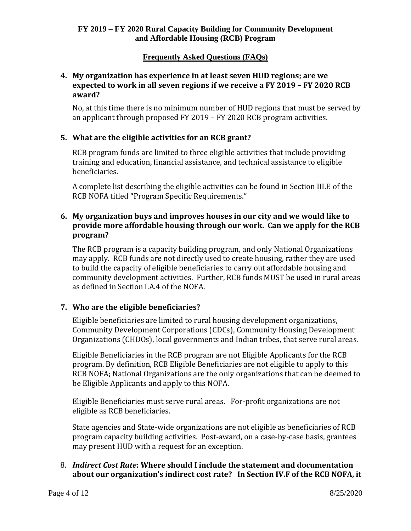#### <span id="page-3-0"></span>**4. My organization has experience in at least seven HUD regions; are we expected to work in all seven regions if we receive a FY 2019 – FY 2020 RCB award?**

No, at this time there is no minimum number of HUD regions that must be served by an applicant through proposed FY 2019 – FY 2020 RCB program activities.

#### <span id="page-3-1"></span>**5. What are the eligible activities for an RCB grant?**

RCB program funds are limited to three eligible activities that include providing training and education, financial assistance, and technical assistance to eligible beneficiaries.

A complete list describing the eligible activities can be found in Section III.E of the RCB NOFA titled "Program Specific Requirements."

#### <span id="page-3-2"></span>**6. My organization buys and improves houses in our city and we would like to provide more affordable housing through our work. Can we apply for the RCB program?**

The RCB program is a capacity building program, and only National Organizations may apply. RCB funds are not directly used to create housing, rather they are used to build the capacity of eligible beneficiaries to carry out affordable housing and community development activities. Further, RCB funds MUST be used in rural areas as defined in Section I.A.4 of the NOFA.

### <span id="page-3-3"></span>**7. Who are the eligible beneficiaries?**

Eligible beneficiaries are limited to rural housing development organizations, Community Development Corporations (CDCs), Community Housing Development Organizations (CHDOs), local governments and Indian tribes, that serve rural areas.

Eligible Beneficiaries in the RCB program are not Eligible Applicants for the RCB program. By definition, RCB Eligible Beneficiaries are not eligible to apply to this RCB NOFA; National Organizations are the only organizations that can be deemed to be Eligible Applicants and apply to this NOFA.

Eligible Beneficiaries must serve rural areas. For-profit organizations are not eligible as RCB beneficiaries.

State agencies and State-wide organizations are not eligible as beneficiaries of RCB program capacity building activities. Post-award, on a case-by-case basis, grantees may present HUD with a request for an exception.

#### <span id="page-3-4"></span>8. *Indirect Cost Rate***: Where should I include the statement and documentation about our organization's indirect cost rate? In Section IV.F of the RCB NOFA, it**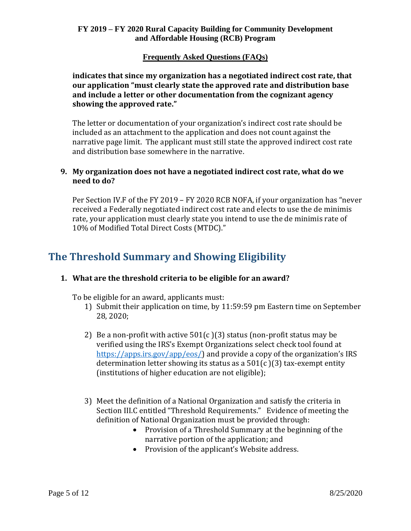#### **Frequently Asked Questions (FAQs)**

**indicates that since my organization has a negotiated indirect cost rate, that our application "must clearly state the approved rate and distribution base and include a letter or other documentation from the cognizant agency showing the approved rate."** 

The letter or documentation of your organization's indirect cost rate should be included as an attachment to the application and does not count against the narrative page limit. The applicant must still state the approved indirect cost rate and distribution base somewhere in the narrative.

#### <span id="page-4-0"></span>**9. My organization does not have a negotiated indirect cost rate, what do we need to do?**

Per Section IV.F of the FY 2019 – FY 2020 RCB NOFA, if your organization has "never received a Federally negotiated indirect cost rate and elects to use the de minimis rate, your application must clearly state you intend to use the de minimis rate of 10% of Modified Total Direct Costs (MTDC)."

# <span id="page-4-1"></span>**The Threshold Summary and Showing Eligibility**

#### <span id="page-4-2"></span>**1. What are the threshold criteria to be eligible for an award?**

To be eligible for an award, applicants must:

- 1) Submit their application on time, by 11:59:59 pm Eastern time on September 28, 2020;
- 2) Be a non-profit with active  $501(c)(3)$  status (non-profit status may be verified using the IRS's Exempt Organizations select check tool found at [https://apps.irs.gov/app/eos/\)](https://apps.irs.gov/app/eos/) and provide a copy of the organization's IRS determination letter showing its status as a  $501(c)(3)$  tax-exempt entity (institutions of higher education are not eligible);
- 3) Meet the definition of a National Organization and satisfy the criteria in Section III.C entitled "Threshold Requirements." Evidence of meeting the definition of National Organization must be provided through:
	- Provision of a Threshold Summary at the beginning of the narrative portion of the application; and
	- Provision of the applicant's Website address.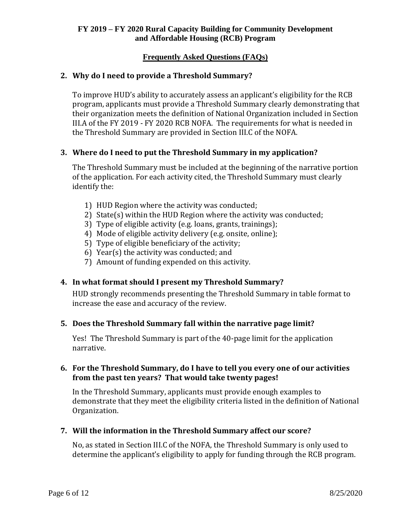#### <span id="page-5-0"></span>**2. Why do I need to provide a Threshold Summary?**

To improve HUD's ability to accurately assess an applicant's eligibility for the RCB program, applicants must provide a Threshold Summary clearly demonstrating that their organization meets the definition of National Organization included in Section III.A of the FY 2019 - FY 2020 RCB NOFA. The requirements for what is needed in the Threshold Summary are provided in Section III.C of the NOFA.

#### <span id="page-5-1"></span>**3. Where do I need to put the Threshold Summary in my application?**

The Threshold Summary must be included at the beginning of the narrative portion of the application. For each activity cited, the Threshold Summary must clearly identify the:

- 1) HUD Region where the activity was conducted;
- 2) State(s) within the HUD Region where the activity was conducted;
- 3) Type of eligible activity (e.g. loans, grants, trainings);
- 4) Mode of eligible activity delivery (e.g. onsite, online);
- 5) Type of eligible beneficiary of the activity;
- 6) Year(s) the activity was conducted; and
- 7) Amount of funding expended on this activity.

#### <span id="page-5-2"></span>**4. In what format should I present my Threshold Summary?**

HUD strongly recommends presenting the Threshold Summary in table format to increase the ease and accuracy of the review.

#### <span id="page-5-3"></span>**5. Does the Threshold Summary fall within the narrative page limit?**

Yes! The Threshold Summary is part of the 40-page limit for the application narrative.

#### <span id="page-5-4"></span>**6. For the Threshold Summary, do I have to tell you every one of our activities from the past ten years? That would take twenty pages!**

In the Threshold Summary, applicants must provide enough examples to demonstrate that they meet the eligibility criteria listed in the definition of National Organization.

#### <span id="page-5-5"></span>**7. Will the information in the Threshold Summary affect our score?**

No, as stated in Section III.C of the NOFA, the Threshold Summary is only used to determine the applicant's eligibility to apply for funding through the RCB program.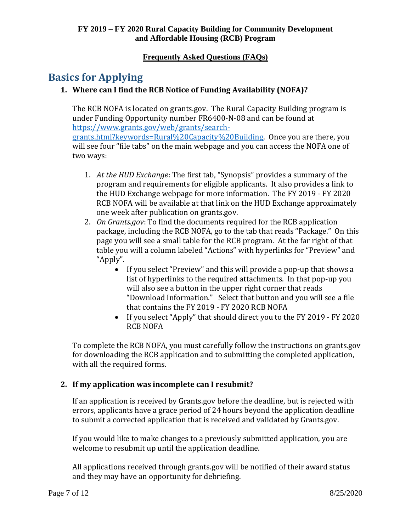# <span id="page-6-1"></span><span id="page-6-0"></span>**Basics for Applying**

### **1. Where can I find the RCB Notice of Funding Availability (NOFA)?**

The RCB NOFA is located on grants.gov. The Rural Capacity Building program is under Funding Opportunity number FR6400-N-08 and can be found at [https://www.grants.gov/web/grants/search-](https://www.grants.gov/web/grants/search-grants.html?keywords=Rural%20Capacity%20Building)

[grants.html?keywords=Rural%20Capacity%20Building.](https://www.grants.gov/web/grants/search-grants.html?keywords=Rural%20Capacity%20Building) Once you are there, you will see four "file tabs" on the main webpage and you can access the NOFA one of two ways:

- 1. *At the HUD Exchange*: The first tab, "Synopsis" provides a summary of the program and requirements for eligible applicants. It also provides a link to the HUD Exchange webpage for more information. The FY 2019 - FY 2020 RCB NOFA will be available at that link on the HUD Exchange approximately one week after publication on grants.gov.
- 2. *On Grants.gov*: To find the documents required for the RCB application package, including the RCB NOFA, go to the tab that reads "Package." On this page you will see a small table for the RCB program. At the far right of that table you will a column labeled "Actions" with hyperlinks for "Preview" and "Apply".
	- If you select "Preview" and this will provide a pop-up that shows a list of hyperlinks to the required attachments. In that pop-up you will also see a button in the upper right corner that reads "Download Information." Select that button and you will see a file that contains the FY 2019 - FY 2020 RCB NOFA
	- If you select "Apply" that should direct you to the FY 2019 FY 2020 RCB NOFA

To complete the RCB NOFA, you must carefully follow the instructions on grants.gov for downloading the RCB application and to submitting the completed application, with all the required forms.

### <span id="page-6-2"></span>**2. If my application was incomplete can I resubmit?**

If an application is received by Grants.gov before the deadline, but is rejected with errors, applicants have a grace period of 24 hours beyond the application deadline to submit a corrected application that is received and validated by Grants.gov.

If you would like to make changes to a previously submitted application, you are welcome to resubmit up until the application deadline.

All applications received through grants.gov will be notified of their award status and they may have an opportunity for debriefing.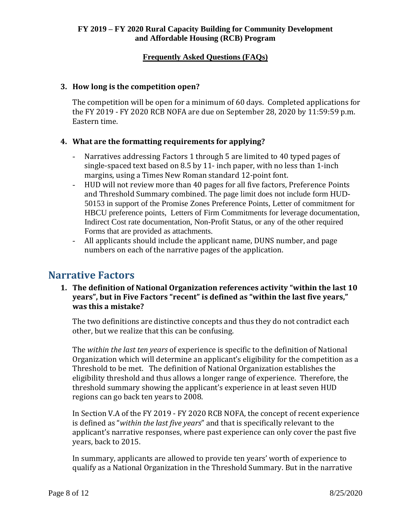#### <span id="page-7-0"></span>**3. How long is the competition open?**

The competition will be open for a minimum of 60 days. Completed applications for the FY 2019 - FY 2020 RCB NOFA are due on September 28, 2020 by 11:59:59 p.m. Eastern time.

#### <span id="page-7-1"></span>**4. What are the formatting requirements for applying?**

- Narratives addressing Factors 1 through 5 are limited to 40 typed pages of single-spaced text based on 8.5 by 11- inch paper, with no less than 1-inch margins, using a Times New Roman standard 12-point font.
- HUD will not review more than 40 pages for all five factors, Preference Points and Threshold Summary combined. The page limit does not include form HUD-50153 in support of the Promise Zones Preference Points, Letter of commitment for HBCU preference points, Letters of Firm Commitments for leverage documentation, Indirect Cost rate documentation, Non-Profit Status, or any of the other required Forms that are provided as attachments.
- All applicants should include the applicant name, DUNS number, and page numbers on each of the narrative pages of the application.

### <span id="page-7-3"></span><span id="page-7-2"></span>**Narrative Factors**

**1. The definition of National Organization references activity "within the last 10 years", but in Five Factors "recent" is defined as "within the last five years," was this a mistake?**

The two definitions are distinctive concepts and thus they do not contradict each other, but we realize that this can be confusing.

The *within the last ten years* of experience is specific to the definition of National Organization which will determine an applicant's eligibility for the competition as a Threshold to be met. The definition of National Organization establishes the eligibility threshold and thus allows a longer range of experience. Therefore, the threshold summary showing the applicant's experience in at least seven HUD regions can go back ten years to 2008.

In Section V.A of the FY 2019 - FY 2020 RCB NOFA, the concept of recent experience is defined as "*within the last five years*" and that is specifically relevant to the applicant's narrative responses, where past experience can only cover the past five years, back to 2015.

In summary, applicants are allowed to provide ten years' worth of experience to qualify as a National Organization in the Threshold Summary. But in the narrative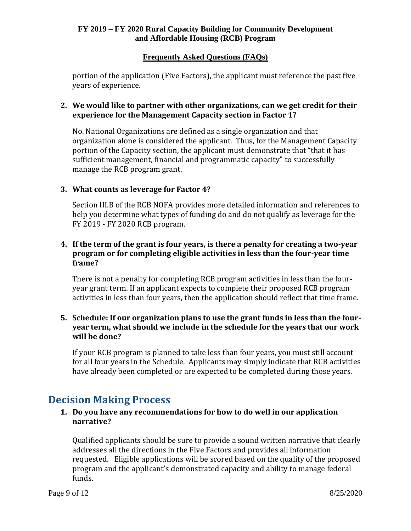#### **Frequently Asked Questions (FAQs)**

portion of the application (Five Factors), the applicant must reference the past five years of experience.

#### <span id="page-8-0"></span>**2. We would like to partner with other organizations, can we get credit for their experience for the Management Capacity section in Factor 1?**

No. National Organizations are defined as a single organization and that organization alone is considered the applicant. Thus, for the Management Capacity portion of the Capacity section, the applicant must demonstrate that "that it has sufficient management, financial and programmatic capacity" to successfully manage the RCB program grant.

#### <span id="page-8-1"></span>**3. What counts as leverage for Factor 4?**

Section III.B of the RCB NOFA provides more detailed information and references to help you determine what types of funding do and do not qualify as leverage for the FY 2019 - FY 2020 RCB program.

#### <span id="page-8-2"></span>**4. If the term of the grant is four years, is there a penalty for creating a two-year program or for completing eligible activities in less than the four-year time frame?**

There is not a penalty for completing RCB program activities in less than the fouryear grant term. If an applicant expects to complete their proposed RCB program activities in less than four years, then the application should reflect that time frame.

#### <span id="page-8-3"></span>**5. Schedule: If our organization plans to use the grant funds in less than the fouryear term, what should we include in the schedule for the years that our work will be done?**

If your RCB program is planned to take less than four years, you must still account for all four years in the Schedule. Applicants may simply indicate that RCB activities have already been completed or are expected to be completed during those years.

## <span id="page-8-5"></span><span id="page-8-4"></span>**Decision Making Process**

#### **1. Do you have any recommendations for how to do well in our application narrative?**

Qualified applicants should be sure to provide a sound written narrative that clearly addresses all the directions in the Five Factors and provides all information requested. Eligible applications will be scored based on the quality of the proposed program and the applicant's demonstrated capacity and ability to manage federal funds.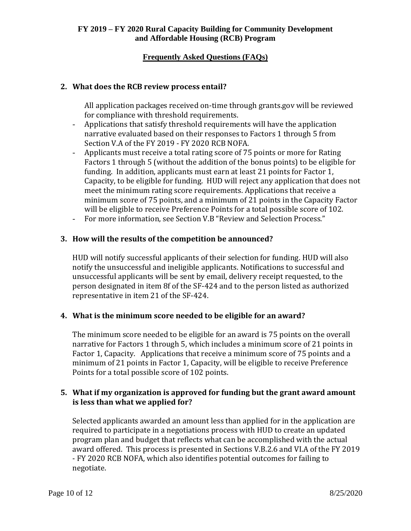#### **Frequently Asked Questions (FAQs)**

#### <span id="page-9-0"></span>**2. What does the RCB review process entail?**

All application packages received on-time through grants.gov will be reviewed for compliance with threshold requirements.

- Applications that satisfy threshold requirements will have the application narrative evaluated based on their responses to Factors 1 through 5 from Section V.A of the FY 2019 - FY 2020 RCB NOFA.
- Applicants must receive a total rating score of 75 points or more for Rating Factors 1 through 5 (without the addition of the bonus points) to be eligible for funding. In addition, applicants must earn at least 21 points for Factor 1, Capacity, to be eligible for funding. HUD will reject any application that does not meet the minimum rating score requirements. Applications that receive a minimum score of 75 points, and a minimum of 21 points in the Capacity Factor will be eligible to receive Preference Points for a total possible score of 102.
- For more information, see Section V.B "Review and Selection Process."

#### <span id="page-9-1"></span>**3. How will the results of the competition be announced?**

HUD will notify successful applicants of their selection for funding. HUD will also notify the unsuccessful and ineligible applicants. Notifications to successful and unsuccessful applicants will be sent by email, delivery receipt requested, to the person designated in item 8f of the SF-424 and to the person listed as authorized representative in item 21 of the SF-424.

#### <span id="page-9-2"></span>**4. What is the minimum score needed to be eligible for an award?**

The minimum score needed to be eligible for an award is 75 points on the overall narrative for Factors 1 through 5, which includes a minimum score of 21 points in Factor 1, Capacity. Applications that receive a minimum score of 75 points and a minimum of 21 points in Factor 1, Capacity, will be eligible to receive Preference Points for a total possible score of 102 points.

#### <span id="page-9-3"></span>**5. What if my organization is approved for funding but the grant award amount is less than what we applied for?**

Selected applicants awarded an amount less than applied for in the application are required to participate in a negotiations process with HUD to create an updated program plan and budget that reflects what can be accomplished with the actual award offered. This process is presented in Sections V.B.2.6 and VI.A of the FY 2019 - FY 2020 RCB NOFA, which also identifies potential outcomes for failing to negotiate.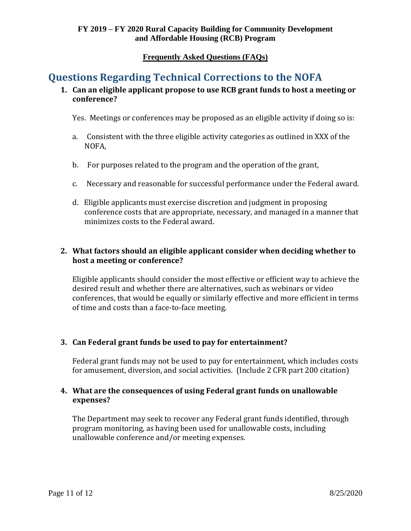# <span id="page-10-1"></span><span id="page-10-0"></span>**Questions Regarding Technical Corrections to the NOFA**

#### **1. Can an eligible applicant propose to use RCB grant funds to host a meeting or conference?**

Yes. Meetings or conferences may be proposed as an eligible activity if doing so is:

- a. Consistent with the three eligible activity categories as outlined in XXX of the NOFA,
- b. For purposes related to the program and the operation of the grant,
- c. Necessary and reasonable for successful performance under the Federal award.
- d. Eligible applicants must exercise discretion and judgment in proposing conference costs that are appropriate, necessary, and managed in a manner that minimizes costs to the Federal award.

#### <span id="page-10-2"></span>**2. What factors should an eligible applicant consider when deciding whether to host a meeting or conference?**

Eligible applicants should consider the most effective or efficient way to achieve the desired result and whether there are alternatives, such as webinars or video conferences, that would be equally or similarly effective and more efficient in terms of time and costs than a face-to-face meeting.

#### <span id="page-10-3"></span>**3. Can Federal grant funds be used to pay for entertainment?**

Federal grant funds may not be used to pay for entertainment, which includes costs for amusement, diversion, and social activities. (Include 2 CFR part 200 citation)

#### <span id="page-10-4"></span>**4. What are the consequences of using Federal grant funds on unallowable expenses?**

The Department may seek to recover any Federal grant funds identified, through program monitoring, as having been used for unallowable costs, including unallowable conference and/or meeting expenses.